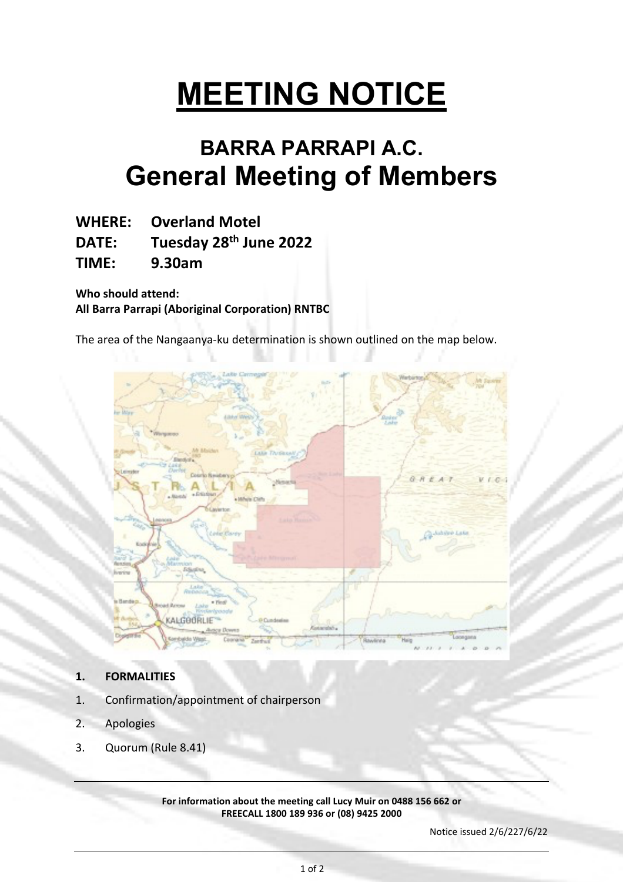# **MEETING NOTICE**

# **BARRA PARRAPI A.C. General Meeting of Members**

**WHERE: Overland Motel**

**DATE: Tuesday 28th June 2022**

**TIME: 9.30am**

**Who should attend: All Barra Parrapi (Aboriginal Corporation) RNTBC**

The area of the Nangaanya-ku determination is shown outlined on the map below.



- **1. FORMALITIES**
- 1. Confirmation/appointment of chairperson
- 2. Apologies
- 3. Quorum (Rule 8.41)

**For information about the meeting call Lucy Muir on 0488 156 662 or FREECALL 1800 189 936 or (08) 9425 2000**

Notice issued 2/6/227/6/22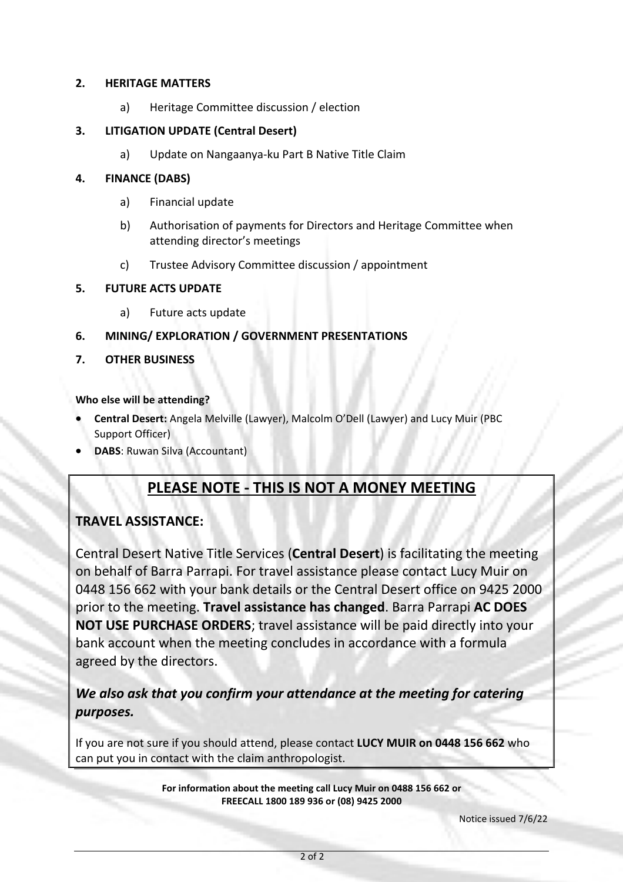## **2. HERITAGE MATTERS**

a) Heritage Committee discussion / election

# **3. LITIGATION UPDATE (Central Desert)**

a) Update on Nangaanya-ku Part B Native Title Claim

## **4. FINANCE (DABS)**

- a) Financial update
- b) Authorisation of payments for Directors and Heritage Committee when attending director's meetings
- c) Trustee Advisory Committee discussion / appointment

## **5. FUTURE ACTS UPDATE**

- a) Future acts update
- **6. MINING/ EXPLORATION / GOVERNMENT PRESENTATIONS**
- **7. OTHER BUSINESS**

## **Who else will be attending?**

- **Central Desert:** Angela Melville (Lawyer), Malcolm O'Dell (Lawyer) and Lucy Muir (PBC Support Officer)
- **DABS**: Ruwan Silva (Accountant)

# **PLEASE NOTE - THIS IS NOT A MONEY MEETING**

# **TRAVEL ASSISTANCE:**

Central Desert Native Title Services (**Central Desert**) is facilitating the meeting on behalf of Barra Parrapi. For travel assistance please contact Lucy Muir on 0448 156 662 with your bank details or the Central Desert office on 9425 2000 prior to the meeting. **Travel assistance has changed**. Barra Parrapi **AC DOES NOT USE PURCHASE ORDERS**; travel assistance will be paid directly into your bank account when the meeting concludes in accordance with a formula agreed by the directors.

*We also ask that you confirm your attendance at the meeting for catering purposes.* 

If you are not sure if you should attend, please contact **LUCY MUIR on 0448 156 662** who can put you in contact with the claim anthropologist.

> **For information about the meeting call Lucy Muir on 0488 156 662 or FREECALL 1800 189 936 or (08) 9425 2000**

> > Notice issued 7/6/22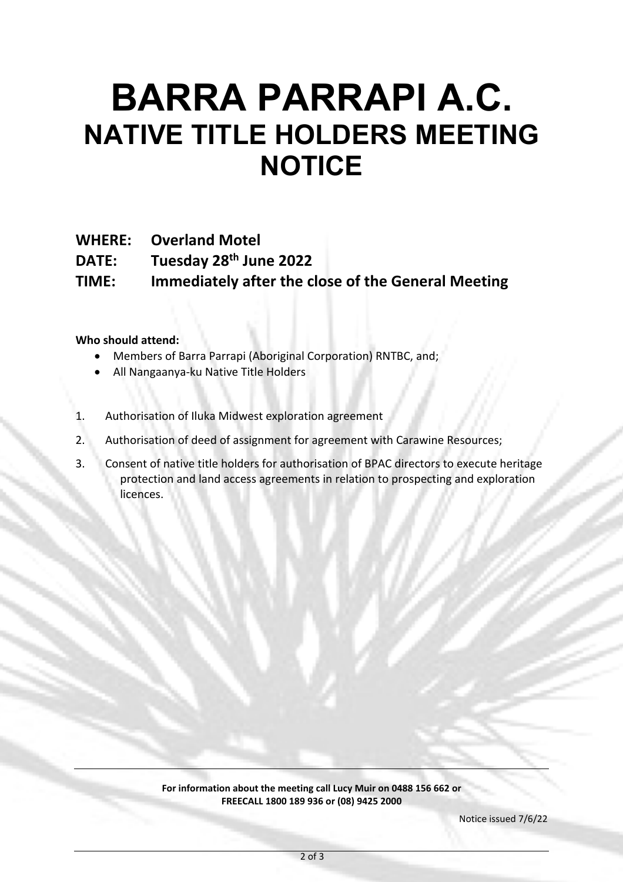# **BARRA PARRAPI A.C. NATIVE TITLE HOLDERS MEETING NOTICE**

**WHERE: Overland Motel**

**DATE: Tuesday 28th June 2022**

**TIME: Immediately after the close of the General Meeting**

# **Who should attend:**

- Members of Barra Parrapi (Aboriginal Corporation) RNTBC, and;
- All Nangaanya-ku Native Title Holders
- 1. Authorisation of Iluka Midwest exploration agreement
- 2. Authorisation of deed of assignment for agreement with Carawine Resources;
- 3. Consent of native title holders for authorisation of BPAC directors to execute heritage protection and land access agreements in relation to prospecting and exploration licences.

#### **For information about the meeting call Lucy Muir on 0488 156 662 or FREECALL 1800 189 936 or (08) 9425 2000**

Notice issued 7/6/22